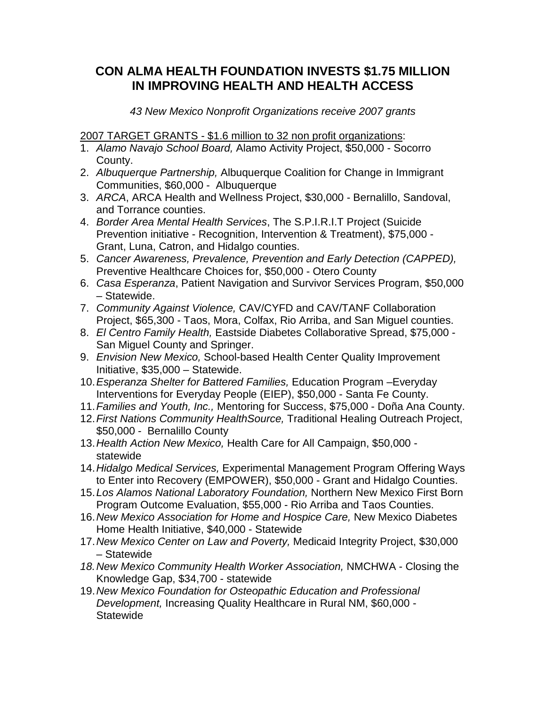## **CON ALMA HEALTH FOUNDATION INVESTS \$1.75 MILLION IN IMPROVING HEALTH AND HEALTH ACCESS**

*43 New Mexico Nonprofit Organizations receive 2007 grants*

2007 TARGET GRANTS - \$1.6 million to 32 non profit organizations:

- 1. *Alamo Navajo School Board,* Alamo Activity Project, \$50,000 Socorro County.
- 2. *Albuquerque Partnership,* Albuquerque Coalition for Change in Immigrant Communities, \$60,000 - Albuquerque
- 3. *ARCA*, ARCA Health and Wellness Project, \$30,000 Bernalillo, Sandoval, and Torrance counties.
- 4. *Border Area Mental Health Services*, The S.P.I.R.I.T Project (Suicide Prevention initiative - Recognition, Intervention & Treatment), \$75,000 - Grant, Luna, Catron, and Hidalgo counties.
- 5. *Cancer Awareness, Prevalence, Prevention and Early Detection (CAPPED),* Preventive Healthcare Choices for, \$50,000 - Otero County
- 6. *Casa Esperanza*, Patient Navigation and Survivor Services Program, \$50,000 – Statewide.
- 7. *Community Against Violence,* CAV/CYFD and CAV/TANF Collaboration Project, \$65,300 - Taos, Mora, Colfax, Rio Arriba, and San Miguel counties.
- 8. *El Centro Family Health,* Eastside Diabetes Collaborative Spread, \$75,000 San Miguel County and Springer.
- 9. *Envision New Mexico,* School-based Health Center Quality Improvement Initiative, \$35,000 – Statewide.
- 10.*Esperanza Shelter for Battered Families,* Education Program –Everyday Interventions for Everyday People (EIEP), \$50,000 - Santa Fe County.
- 11.*Families and Youth, Inc.,* Mentoring for Success, \$75,000 Doña Ana County.
- 12.*First Nations Community HealthSource,* Traditional Healing Outreach Project, \$50,000 - Bernalillo County
- 13.*Health Action New Mexico,* Health Care for All Campaign, \$50,000 statewide
- 14.*Hidalgo Medical Services,* Experimental Management Program Offering Ways to Enter into Recovery (EMPOWER), \$50,000 - Grant and Hidalgo Counties.
- 15.*Los Alamos National Laboratory Foundation,* Northern New Mexico First Born Program Outcome Evaluation, \$55,000 - Rio Arriba and Taos Counties.
- 16.*New Mexico Association for Home and Hospice Care,* New Mexico Diabetes Home Health Initiative, \$40,000 - Statewide
- 17.*New Mexico Center on Law and Poverty,* Medicaid Integrity Project, \$30,000 – Statewide
- *18.New Mexico Community Health Worker Association,* NMCHWA Closing the Knowledge Gap, \$34,700 - statewide
- 19.*New Mexico Foundation for Osteopathic Education and Professional Development,* Increasing Quality Healthcare in Rural NM, \$60,000 - **Statewide**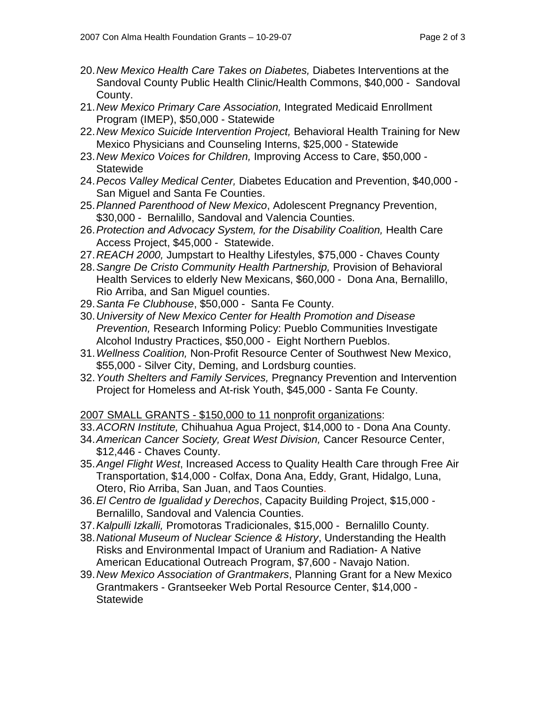- 20.*New Mexico Health Care Takes on Diabetes,* Diabetes Interventions at the Sandoval County Public Health Clinic/Health Commons, \$40,000 - Sandoval County.
- 21.*New Mexico Primary Care Association,* Integrated Medicaid Enrollment Program (IMEP), \$50,000 - Statewide
- 22.*New Mexico Suicide Intervention Project,* Behavioral Health Training for New Mexico Physicians and Counseling Interns, \$25,000 - Statewide
- 23.*New Mexico Voices for Children,* Improving Access to Care, \$50,000 **Statewide**
- 24.*Pecos Valley Medical Center,* Diabetes Education and Prevention, \$40,000 San Miguel and Santa Fe Counties.
- 25.*Planned Parenthood of New Mexico*, Adolescent Pregnancy Prevention, \$30,000 - Bernalillo, Sandoval and Valencia Counties.
- 26.*Protection and Advocacy System, for the Disability Coalition,* Health Care Access Project, \$45,000 - Statewide.
- 27.*REACH 2000,* Jumpstart to Healthy Lifestyles, \$75,000 Chaves County
- 28.*Sangre De Cristo Community Health Partnership,* Provision of Behavioral Health Services to elderly New Mexicans, \$60,000 - Dona Ana, Bernalillo, Rio Arriba, and San Miguel counties.
- 29.*Santa Fe Clubhouse*, \$50,000 Santa Fe County.
- 30.*University of New Mexico Center for Health Promotion and Disease Prevention,* Research Informing Policy: Pueblo Communities Investigate Alcohol Industry Practices, \$50,000 - Eight Northern Pueblos.
- 31.*Wellness Coalition,* Non-Profit Resource Center of Southwest New Mexico, \$55,000 - Silver City, Deming, and Lordsburg counties.
- 32.*Youth Shelters and Family Services,* Pregnancy Prevention and Intervention Project for Homeless and At-risk Youth, \$45,000 - Santa Fe County.

## 2007 SMALL GRANTS - \$150,000 to 11 nonprofit organizations:

- 33.*ACORN Institute,* Chihuahua Agua Project, \$14,000 to Dona Ana County.
- 34.*American Cancer Society, Great West Division,* Cancer Resource Center, \$12,446 - Chaves County.
- 35.*Angel Flight West*, Increased Access to Quality Health Care through Free Air Transportation, \$14,000 - Colfax, Dona Ana, Eddy, Grant, Hidalgo, Luna, Otero, Rio Arriba, San Juan, and Taos Counties.
- 36.*El Centro de Igualidad y Derechos*, Capacity Building Project, \$15,000 Bernalillo, Sandoval and Valencia Counties.
- 37.*Kalpulli Izkalli,* Promotoras Tradicionales, \$15,000 Bernalillo County.
- 38.*National Museum of Nuclear Science & History*, Understanding the Health Risks and Environmental Impact of Uranium and Radiation- A Native American Educational Outreach Program, \$7,600 - Navajo Nation.
- 39.*New Mexico Association of Grantmakers*, Planning Grant for a New Mexico Grantmakers - Grantseeker Web Portal Resource Center, \$14,000 - **Statewide**